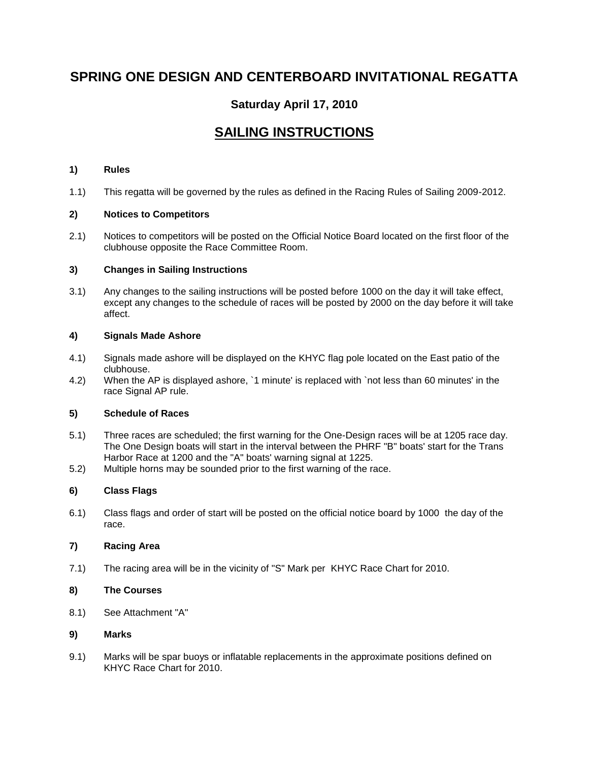# **SPRING ONE DESIGN AND CENTERBOARD INVITATIONAL REGATTA**

# **Saturday April 17, 2010**

# **SAILING INSTRUCTIONS**

## **1) Rules**

1.1) This regatta will be governed by the rules as defined in the Racing Rules of Sailing 2009-2012.

## **2) Notices to Competitors**

2.1) Notices to competitors will be posted on the Official Notice Board located on the first floor of the clubhouse opposite the Race Committee Room.

## **3) Changes in Sailing Instructions**

3.1) Any changes to the sailing instructions will be posted before 1000 on the day it will take effect, except any changes to the schedule of races will be posted by 2000 on the day before it will take affect.

#### **4) Signals Made Ashore**

- 4.1) Signals made ashore will be displayed on the KHYC flag pole located on the East patio of the clubhouse.
- 4.2) When the AP is displayed ashore, `1 minute' is replaced with `not less than 60 minutes' in the race Signal AP rule.

#### **5) Schedule of Races**

- 5.1) Three races are scheduled; the first warning for the One-Design races will be at 1205 race day. The One Design boats will start in the interval between the PHRF "B" boats' start for the Trans Harbor Race at 1200 and the "A" boats' warning signal at 1225.
- 5.2) Multiple horns may be sounded prior to the first warning of the race.

# **6) Class Flags**

6.1) Class flags and order of start will be posted on the official notice board by 1000 the day of the race.

# **7) Racing Area**

7.1) The racing area will be in the vicinity of "S" Mark per KHYC Race Chart for 2010.

#### **8) The Courses**

8.1) See Attachment "A"

#### **9) Marks**

9.1) Marks will be spar buoys or inflatable replacements in the approximate positions defined on KHYC Race Chart for 2010.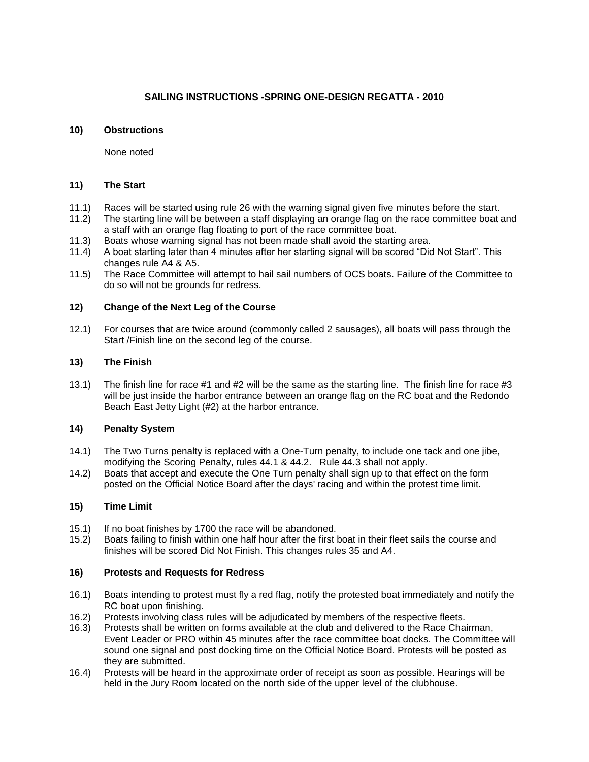# **SAILING INSTRUCTIONS -SPRING ONE-DESIGN REGATTA - 2010**

## **10) Obstructions**

None noted

## **11) The Start**

- 11.1) Races will be started using rule 26 with the warning signal given five minutes before the start.
- 11.2) The starting line will be between a staff displaying an orange flag on the race committee boat and a staff with an orange flag floating to port of the race committee boat.
- 11.3) Boats whose warning signal has not been made shall avoid the starting area.
- 11.4) A boat starting later than 4 minutes after her starting signal will be scored "Did Not Start". This changes rule A4 & A5.
- 11.5) The Race Committee will attempt to hail sail numbers of OCS boats. Failure of the Committee to do so will not be grounds for redress.

## **12) Change of the Next Leg of the Course**

12.1) For courses that are twice around (commonly called 2 sausages), all boats will pass through the Start /Finish line on the second leg of the course.

## **13) The Finish**

13.1) The finish line for race #1 and #2 will be the same as the starting line. The finish line for race #3 will be just inside the harbor entrance between an orange flag on the RC boat and the Redondo Beach East Jetty Light (#2) at the harbor entrance.

#### **14) Penalty System**

- 14.1) The Two Turns penalty is replaced with a One-Turn penalty, to include one tack and one jibe, modifying the Scoring Penalty, rules 44.1 & 44.2. Rule 44.3 shall not apply.
- 14.2) Boats that accept and execute the One Turn penalty shall sign up to that effect on the form posted on the Official Notice Board after the days' racing and within the protest time limit.

# **15) Time Limit**

- 15.1) If no boat finishes by 1700 the race will be abandoned.
- 15.2) Boats failing to finish within one half hour after the first boat in their fleet sails the course and finishes will be scored Did Not Finish. This changes rules 35 and A4.

#### **16) Protests and Requests for Redress**

- 16.1) Boats intending to protest must fly a red flag, notify the protested boat immediately and notify the RC boat upon finishing.
- 16.2) Protests involving class rules will be adjudicated by members of the respective fleets.
- 16.3) Protests shall be written on forms available at the club and delivered to the Race Chairman, Event Leader or PRO within 45 minutes after the race committee boat docks. The Committee will sound one signal and post docking time on the Official Notice Board. Protests will be posted as they are submitted.
- 16.4) Protests will be heard in the approximate order of receipt as soon as possible. Hearings will be held in the Jury Room located on the north side of the upper level of the clubhouse.